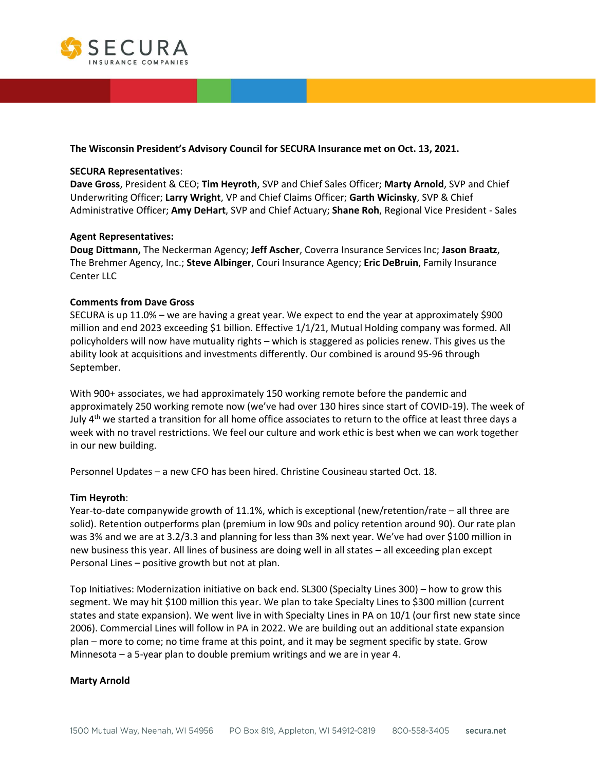

### **The Wisconsin President's Advisory Council for SECURA Insurance met on Oct. 13, 2021.**

### **SECURA Representatives**:

**Dave Gross**, President & CEO; **Tim Heyroth**, SVP and Chief Sales Officer; **Marty Arnold**, SVP and Chief Underwriting Officer; **Larry Wright**, VP and Chief Claims Officer; **Garth Wicinsky**, SVP & Chief Administrative Officer; **Amy DeHart**, SVP and Chief Actuary; **Shane Roh**, Regional Vice President - Sales

### **Agent Representatives:**

**Doug Dittmann,** The Neckerman Agency; **Jeff Ascher**, Coverra Insurance Services Inc; **Jason Braatz**, The Brehmer Agency, Inc.; **Steve Albinger**, Couri Insurance Agency; **Eric DeBruin**, Family Insurance Center LLC

### **Comments from Dave Gross**

SECURA is up 11.0% – we are having a great year. We expect to end the year at approximately \$900 million and end 2023 exceeding \$1 billion. Effective 1/1/21, Mutual Holding company was formed. All policyholders will now have mutuality rights – which is staggered as policies renew. This gives us the ability look at acquisitions and investments differently. Our combined is around 95-96 through September.

With 900+ associates, we had approximately 150 working remote before the pandemic and approximately 250 working remote now (we've had over 130 hires since start of COVID-19). The week of July  $4<sup>th</sup>$  we started a transition for all home office associates to return to the office at least three days a week with no travel restrictions. We feel our culture and work ethic is best when we can work together in our new building.

Personnel Updates – a new CFO has been hired. Christine Cousineau started Oct. 18.

#### **Tim Heyroth**:

Year-to-date companywide growth of 11.1%, which is exceptional (new/retention/rate – all three are solid). Retention outperforms plan (premium in low 90s and policy retention around 90). Our rate plan was 3% and we are at 3.2/3.3 and planning for less than 3% next year. We've had over \$100 million in new business this year. All lines of business are doing well in all states – all exceeding plan except Personal Lines – positive growth but not at plan.

Top Initiatives: Modernization initiative on back end. SL300 (Specialty Lines 300) – how to grow this segment. We may hit \$100 million this year. We plan to take Specialty Lines to \$300 million (current states and state expansion). We went live in with Specialty Lines in PA on 10/1 (our first new state since 2006). Commercial Lines will follow in PA in 2022. We are building out an additional state expansion plan – more to come; no time frame at this point, and it may be segment specific by state. Grow Minnesota – a 5-year plan to double premium writings and we are in year 4.

#### **Marty Arnold**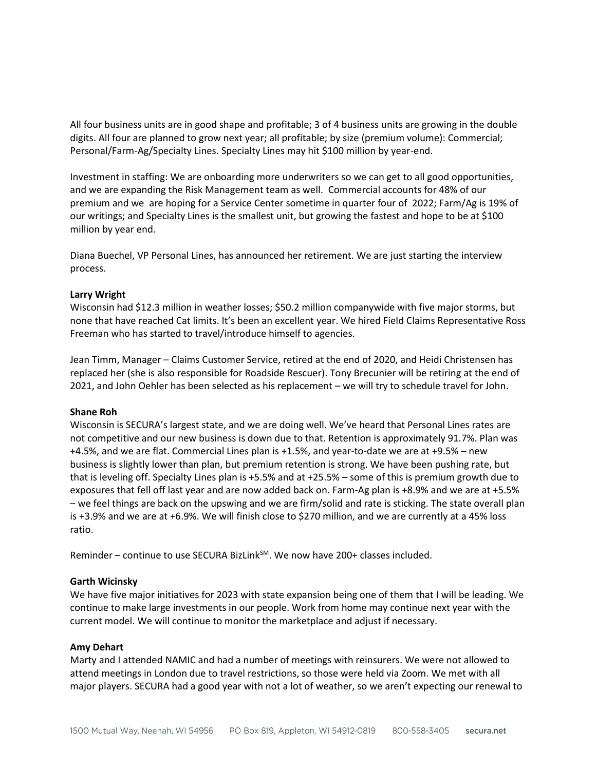All four business units are in good shape and profitable; 3 of 4 business units are growing in the double digits. All four are planned to grow next year; all profitable; by size (premium volume): Commercial; Personal/Farm-Ag/Specialty Lines. Specialty Lines may hit \$100 million by year-end.

Investment in staffing: We are onboarding more underwriters so we can get to all good opportunities, and we are expanding the Risk Management team as well. Commercial accounts for 48% of our premium and we are hoping for a Service Center sometime in quarter four of 2022; Farm/Ag is 19% of our writings; and Specialty Lines is the smallest unit, but growing the fastest and hope to be at \$100 million by year end.

Diana Buechel, VP Personal Lines, has announced her retirement. We are just starting the interview process.

### **Larry Wright**

Wisconsin had \$12.3 million in weather losses; \$50.2 million companywide with five major storms, but none that have reached Cat limits. It's been an excellent year. We hired Field Claims Representative Ross Freeman who has started to travel/introduce himself to agencies.

Jean Timm, Manager – Claims Customer Service, retired at the end of 2020, and Heidi Christensen has replaced her (she is also responsible for Roadside Rescuer). Tony Brecunier will be retiring at the end of 2021, and John Oehler has been selected as his replacement – we will try to schedule travel for John.

#### **Shane Roh**

Wisconsin is SECURA's largest state, and we are doing well. We've heard that Personal Lines rates are not competitive and our new business is down due to that. Retention is approximately 91.7%. Plan was +4.5%, and we are flat. Commercial Lines plan is +1.5%, and year-to-date we are at +9.5% – new business is slightly lower than plan, but premium retention is strong. We have been pushing rate, but that is leveling off. Specialty Lines plan is +5.5% and at +25.5% – some of this is premium growth due to exposures that fell off last year and are now added back on. Farm-Ag plan is +8.9% and we are at +5.5% – we feel things are back on the upswing and we are firm/solid and rate is sticking. The state overall plan is +3.9% and we are at +6.9%. We will finish close to \$270 million, and we are currently at a 45% loss ratio.

Reminder – continue to use SECURA BizLink<sup>SM</sup>. We now have 200+ classes included.

### **Garth Wicinsky**

We have five major initiatives for 2023 with state expansion being one of them that I will be leading. We continue to make large investments in our people. Work from home may continue next year with the current model. We will continue to monitor the marketplace and adjust if necessary.

#### **Amy Dehart**

Marty and I attended NAMIC and had a number of meetings with reinsurers. We were not allowed to attend meetings in London due to travel restrictions, so those were held via Zoom. We met with all major players. SECURA had a good year with not a lot of weather, so we aren't expecting our renewal to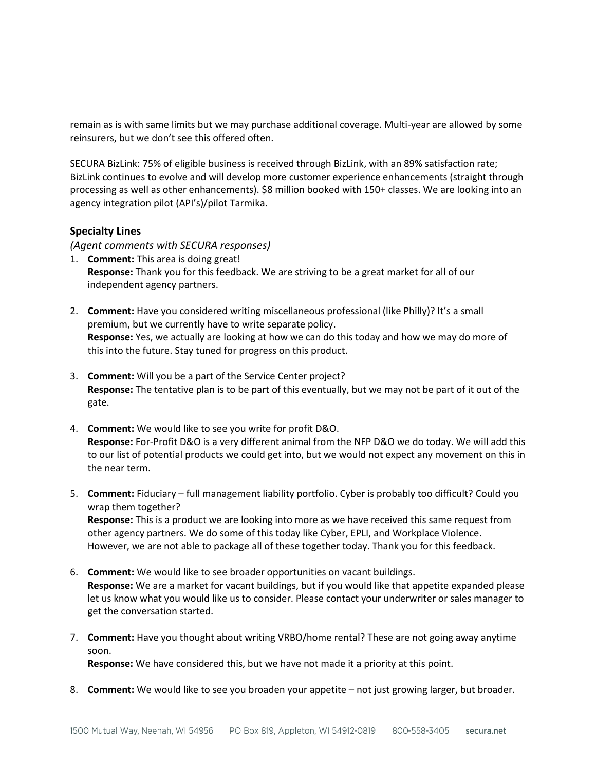remain as is with same limits but we may purchase additional coverage. Multi-year are allowed by some reinsurers, but we don't see this offered often.

SECURA BizLink: 75% of eligible business is received through BizLink, with an 89% satisfaction rate; BizLink continues to evolve and will develop more customer experience enhancements (straight through processing as well as other enhancements). \$8 million booked with 150+ classes. We are looking into an agency integration pilot (API's)/pilot Tarmika.

## **Specialty Lines**

*(Agent comments with SECURA responses)*

- 1. **Comment:** This area is doing great! **Response:** Thank you for this feedback. We are striving to be a great market for all of our independent agency partners.
- 2. **Comment:** Have you considered writing miscellaneous professional (like Philly)? It's a small premium, but we currently have to write separate policy. **Response:** Yes, we actually are looking at how we can do this today and how we may do more of this into the future. Stay tuned for progress on this product.
- 3. **Comment:** Will you be a part of the Service Center project? **Response:** The tentative plan is to be part of this eventually, but we may not be part of it out of the gate.
- 4. **Comment:** We would like to see you write for profit D&O. **Response:** For-Profit D&O is a very different animal from the NFP D&O we do today. We will add this to our list of potential products we could get into, but we would not expect any movement on this in the near term.
- 5. **Comment:** Fiduciary full management liability portfolio. Cyber is probably too difficult? Could you wrap them together? **Response:** This is a product we are looking into more as we have received this same request from other agency partners. We do some of this today like Cyber, EPLI, and Workplace Violence. However, we are not able to package all of these together today. Thank you for this feedback.
- 6. **Comment:** We would like to see broader opportunities on vacant buildings. **Response:** We are a market for vacant buildings, but if you would like that appetite expanded please let us know what you would like us to consider. Please contact your underwriter or sales manager to get the conversation started.
- 7. **Comment:** Have you thought about writing VRBO/home rental? These are not going away anytime soon.

**Response:** We have considered this, but we have not made it a priority at this point.

8. **Comment:** We would like to see you broaden your appetite – not just growing larger, but broader.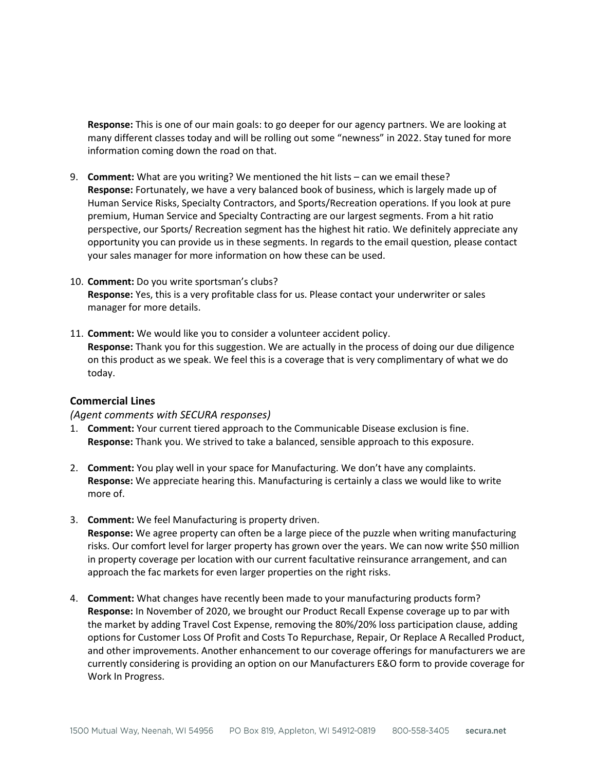**Response:** This is one of our main goals: to go deeper for our agency partners. We are looking at many different classes today and will be rolling out some "newness" in 2022. Stay tuned for more information coming down the road on that.

- 9. **Comment:** What are you writing? We mentioned the hit lists can we email these? **Response:** Fortunately, we have a very balanced book of business, which is largely made up of Human Service Risks, Specialty Contractors, and Sports/Recreation operations. If you look at pure premium, Human Service and Specialty Contracting are our largest segments. From a hit ratio perspective, our Sports/ Recreation segment has the highest hit ratio. We definitely appreciate any opportunity you can provide us in these segments. In regards to the email question, please contact your sales manager for more information on how these can be used.
- 10. **Comment:** Do you write sportsman's clubs? **Response:** Yes, this is a very profitable class for us. Please contact your underwriter or sales manager for more details.
- 11. **Comment:** We would like you to consider a volunteer accident policy. **Response:** Thank you for this suggestion. We are actually in the process of doing our due diligence on this product as we speak. We feel this is a coverage that is very complimentary of what we do today.

## **Commercial Lines**

## *(Agent comments with SECURA responses)*

- 1. **Comment:** Your current tiered approach to the Communicable Disease exclusion is fine. **Response:** Thank you. We strived to take a balanced, sensible approach to this exposure.
- 2. **Comment:** You play well in your space for Manufacturing. We don't have any complaints. **Response:** We appreciate hearing this. Manufacturing is certainly a class we would like to write more of.
- 3. **Comment:** We feel Manufacturing is property driven. **Response:** We agree property can often be a large piece of the puzzle when writing manufacturing risks. Our comfort level for larger property has grown over the years. We can now write \$50 million in property coverage per location with our current facultative reinsurance arrangement, and can approach the fac markets for even larger properties on the right risks.
- 4. **Comment:** What changes have recently been made to your manufacturing products form? **Response:** In November of 2020, we brought our Product Recall Expense coverage up to par with the market by adding Travel Cost Expense, removing the 80%/20% loss participation clause, adding options for Customer Loss Of Profit and Costs To Repurchase, Repair, Or Replace A Recalled Product, and other improvements. Another enhancement to our coverage offerings for manufacturers we are currently considering is providing an option on our Manufacturers E&O form to provide coverage for Work In Progress.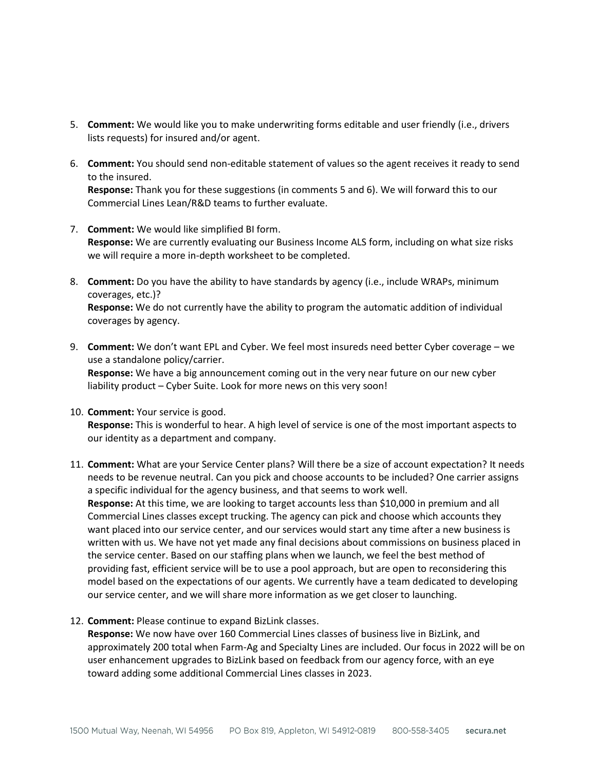- 5. **Comment:** We would like you to make underwriting forms editable and user friendly (i.e., drivers lists requests) for insured and/or agent.
- 6. **Comment:** You should send non-editable statement of values so the agent receives it ready to send to the insured.

**Response:** Thank you for these suggestions (in comments 5 and 6). We will forward this to our Commercial Lines Lean/R&D teams to further evaluate.

- 7. **Comment:** We would like simplified BI form. **Response:** We are currently evaluating our Business Income ALS form, including on what size risks we will require a more in-depth worksheet to be completed.
- 8. **Comment:** Do you have the ability to have standards by agency (i.e., include WRAPs, minimum coverages, etc.)? **Response:** We do not currently have the ability to program the automatic addition of individual coverages by agency.
- 9. **Comment:** We don't want EPL and Cyber. We feel most insureds need better Cyber coverage we use a standalone policy/carrier. **Response:** We have a big announcement coming out in the very near future on our new cyber liability product – Cyber Suite. Look for more news on this very soon!
- 10. **Comment:** Your service is good. **Response:** This is wonderful to hear. A high level of service is one of the most important aspects to our identity as a department and company.
- 11. **Comment:** What are your Service Center plans? Will there be a size of account expectation? It needs needs to be revenue neutral. Can you pick and choose accounts to be included? One carrier assigns a specific individual for the agency business, and that seems to work well. **Response:** At this time, we are looking to target accounts less than \$10,000 in premium and all Commercial Lines classes except trucking. The agency can pick and choose which accounts they want placed into our service center, and our services would start any time after a new business is written with us. We have not yet made any final decisions about commissions on business placed in the service center. Based on our staffing plans when we launch, we feel the best method of providing fast, efficient service will be to use a pool approach, but are open to reconsidering this model based on the expectations of our agents. We currently have a team dedicated to developing our service center, and we will share more information as we get closer to launching.
- 12. **Comment:** Please continue to expand BizLink classes.

**Response:** We now have over 160 Commercial Lines classes of business live in BizLink, and approximately 200 total when Farm-Ag and Specialty Lines are included. Our focus in 2022 will be on user enhancement upgrades to BizLink based on feedback from our agency force, with an eye toward adding some additional Commercial Lines classes in 2023.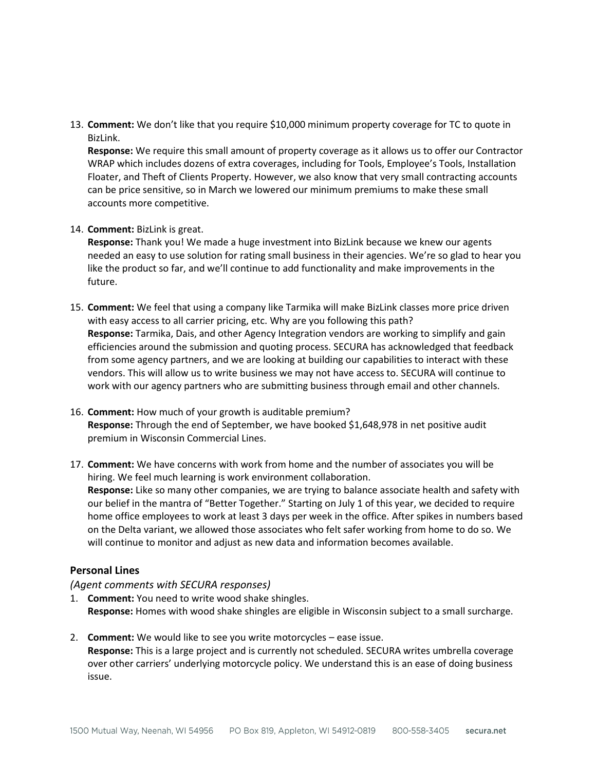13. **Comment:** We don't like that you require \$10,000 minimum property coverage for TC to quote in BizLink.

**Response:** We require this small amount of property coverage as it allows us to offer our Contractor WRAP which includes dozens of extra coverages, including for Tools, Employee's Tools, Installation Floater, and Theft of Clients Property. However, we also know that very small contracting accounts can be price sensitive, so in March we lowered our minimum premiums to make these small accounts more competitive.

## 14. **Comment:** BizLink is great.

**Response:** Thank you! We made a huge investment into BizLink because we knew our agents needed an easy to use solution for rating small business in their agencies. We're so glad to hear you like the product so far, and we'll continue to add functionality and make improvements in the future.

- 15. **Comment:** We feel that using a company like Tarmika will make BizLink classes more price driven with easy access to all carrier pricing, etc. Why are you following this path? **Response:** Tarmika, Dais, and other Agency Integration vendors are working to simplify and gain efficiencies around the submission and quoting process. SECURA has acknowledged that feedback from some agency partners, and we are looking at building our capabilities to interact with these vendors. This will allow us to write business we may not have access to. SECURA will continue to work with our agency partners who are submitting business through email and other channels.
- 16. **Comment:** How much of your growth is auditable premium? **Response:** Through the end of September, we have booked \$1,648,978 in net positive audit premium in Wisconsin Commercial Lines.
- 17. **Comment:** We have concerns with work from home and the number of associates you will be hiring. We feel much learning is work environment collaboration. **Response:** Like so many other companies, we are trying to balance associate health and safety with our belief in the mantra of "Better Together." Starting on July 1 of this year, we decided to require home office employees to work at least 3 days per week in the office. After spikes in numbers based on the Delta variant, we allowed those associates who felt safer working from home to do so. We will continue to monitor and adjust as new data and information becomes available.

## **Personal Lines**

### *(Agent comments with SECURA responses)*

- 1. **Comment:** You need to write wood shake shingles. **Response:** Homes with wood shake shingles are eligible in Wisconsin subject to a small surcharge.
- 2. **Comment:** We would like to see you write motorcycles ease issue. **Response:** This is a large project and is currently not scheduled. SECURA writes umbrella coverage over other carriers' underlying motorcycle policy. We understand this is an ease of doing business issue.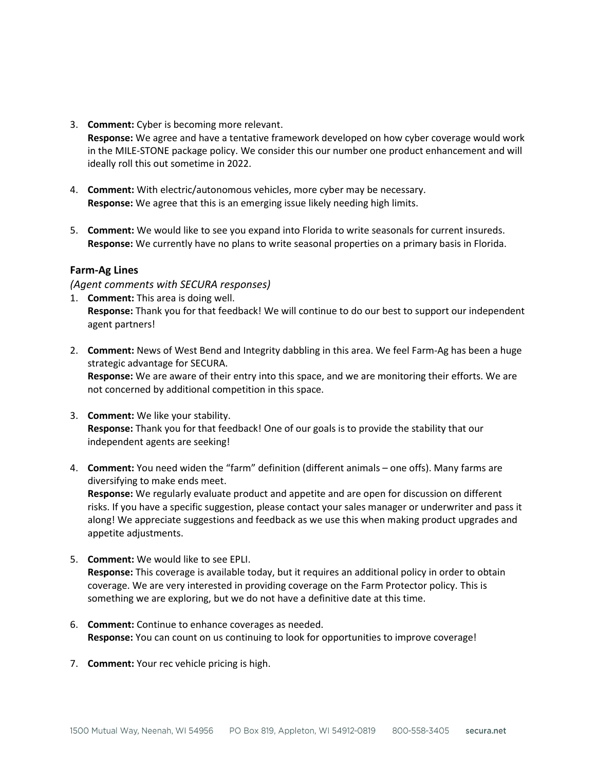3. **Comment:** Cyber is becoming more relevant.

**Response:** We agree and have a tentative framework developed on how cyber coverage would work in the MILE-STONE package policy. We consider this our number one product enhancement and will ideally roll this out sometime in 2022.

- 4. **Comment:** With electric/autonomous vehicles, more cyber may be necessary. **Response:** We agree that this is an emerging issue likely needing high limits.
- 5. **Comment:** We would like to see you expand into Florida to write seasonals for current insureds. **Response:** We currently have no plans to write seasonal properties on a primary basis in Florida.

# **Farm-Ag Lines**

*(Agent comments with SECURA responses)* 

- 1. **Comment:** This area is doing well. **Response:** Thank you for that feedback! We will continue to do our best to support our independent agent partners!
- 2. **Comment:** News of West Bend and Integrity dabbling in this area. We feel Farm-Ag has been a huge strategic advantage for SECURA. **Response:** We are aware of their entry into this space, and we are monitoring their efforts. We are not concerned by additional competition in this space.
- 3. **Comment:** We like your stability. **Response:** Thank you for that feedback! One of our goals is to provide the stability that our independent agents are seeking!
- 4. **Comment:** You need widen the "farm" definition (different animals one offs). Many farms are diversifying to make ends meet.

**Response:** We regularly evaluate product and appetite and are open for discussion on different risks. If you have a specific suggestion, please contact your sales manager or underwriter and pass it along! We appreciate suggestions and feedback as we use this when making product upgrades and appetite adjustments.

- 5. **Comment:** We would like to see EPLI. **Response:** This coverage is available today, but it requires an additional policy in order to obtain coverage. We are very interested in providing coverage on the Farm Protector policy. This is something we are exploring, but we do not have a definitive date at this time.
- 6. **Comment:** Continue to enhance coverages as needed. **Response:** You can count on us continuing to look for opportunities to improve coverage!
- 7. **Comment:** Your rec vehicle pricing is high.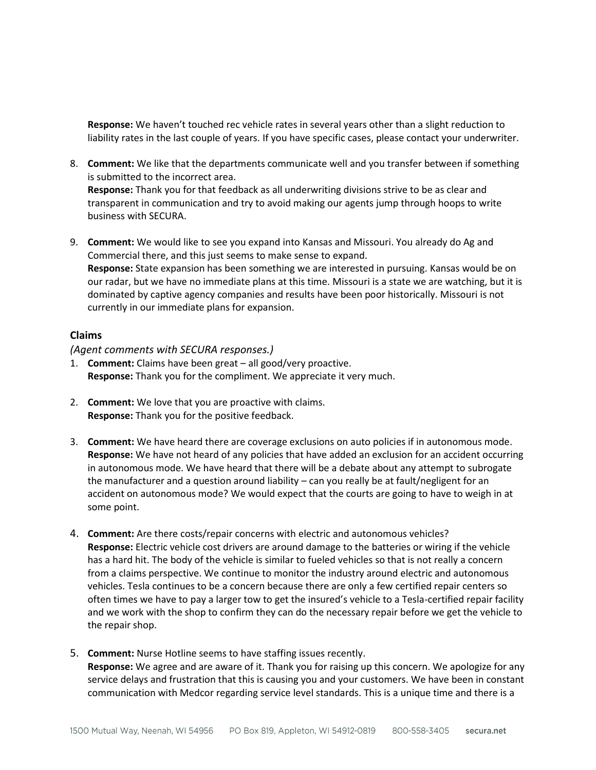**Response:** We haven't touched rec vehicle rates in several years other than a slight reduction to liability rates in the last couple of years. If you have specific cases, please contact your underwriter.

- 8. **Comment:** We like that the departments communicate well and you transfer between if something is submitted to the incorrect area. **Response:** Thank you for that feedback as all underwriting divisions strive to be as clear and transparent in communication and try to avoid making our agents jump through hoops to write business with SECURA.
- 9. **Comment:** We would like to see you expand into Kansas and Missouri. You already do Ag and Commercial there, and this just seems to make sense to expand. **Response:** State expansion has been something we are interested in pursuing. Kansas would be on our radar, but we have no immediate plans at this time. Missouri is a state we are watching, but it is dominated by captive agency companies and results have been poor historically. Missouri is not currently in our immediate plans for expansion.

## **Claims**

*(Agent comments with SECURA responses.)*

- 1. **Comment:** Claims have been great all good/very proactive. **Response:** Thank you for the compliment. We appreciate it very much.
- 2. **Comment:** We love that you are proactive with claims. **Response:** Thank you for the positive feedback.
- 3. **Comment:** We have heard there are coverage exclusions on auto policies if in autonomous mode. **Response:** We have not heard of any policies that have added an exclusion for an accident occurring in autonomous mode. We have heard that there will be a debate about any attempt to subrogate the manufacturer and a question around liability – can you really be at fault/negligent for an accident on autonomous mode? We would expect that the courts are going to have to weigh in at some point.
- 4. **Comment:** Are there costs/repair concerns with electric and autonomous vehicles? **Response:** Electric vehicle cost drivers are around damage to the batteries or wiring if the vehicle has a hard hit. The body of the vehicle is similar to fueled vehicles so that is not really a concern from a claims perspective. We continue to monitor the industry around electric and autonomous vehicles. Tesla continues to be a concern because there are only a few certified repair centers so often times we have to pay a larger tow to get the insured's vehicle to a Tesla-certified repair facility and we work with the shop to confirm they can do the necessary repair before we get the vehicle to the repair shop.
- 5. **Comment:** Nurse Hotline seems to have staffing issues recently. **Response:** We agree and are aware of it. Thank you for raising up this concern. We apologize for any service delays and frustration that this is causing you and your customers. We have been in constant communication with Medcor regarding service level standards. This is a unique time and there is a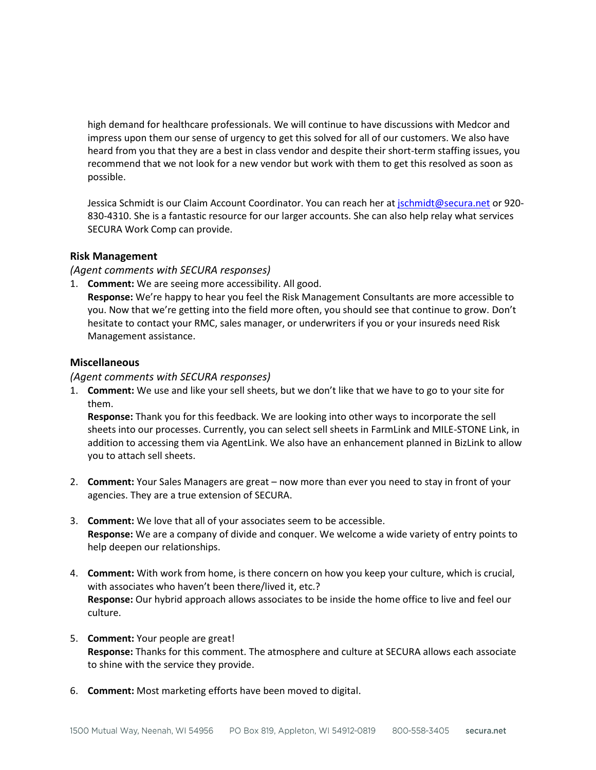high demand for healthcare professionals. We will continue to have discussions with Medcor and impress upon them our sense of urgency to get this solved for all of our customers. We also have heard from you that they are a best in class vendor and despite their short-term staffing issues, you recommend that we not look for a new vendor but work with them to get this resolved as soon as possible.

Jessica Schmidt is our Claim Account Coordinator. You can reach her a[t jschmidt@secura.net](mailto:jschmidt@secura.net) or 920-830-4310. She is a fantastic resource for our larger accounts. She can also help relay what services SECURA Work Comp can provide.

# **Risk Management**

*(Agent comments with SECURA responses)*

1. **Comment:** We are seeing more accessibility. All good.

**Response:** We're happy to hear you feel the Risk Management Consultants are more accessible to you. Now that we're getting into the field more often, you should see that continue to grow. Don't hesitate to contact your RMC, sales manager, or underwriters if you or your insureds need Risk Management assistance.

# **Miscellaneous**

*(Agent comments with SECURA responses)*

1. **Comment:** We use and like your sell sheets, but we don't like that we have to go to your site for them.

**Response:** Thank you for this feedback. We are looking into other ways to incorporate the sell sheets into our processes. Currently, you can select sell sheets in FarmLink and MILE-STONE Link, in addition to accessing them via AgentLink. We also have an enhancement planned in BizLink to allow you to attach sell sheets.

- 2. **Comment:** Your Sales Managers are great now more than ever you need to stay in front of your agencies. They are a true extension of SECURA.
- 3. **Comment:** We love that all of your associates seem to be accessible. **Response:** We are a company of divide and conquer. We welcome a wide variety of entry points to help deepen our relationships.
- 4. **Comment:** With work from home, is there concern on how you keep your culture, which is crucial, with associates who haven't been there/lived it, etc.? **Response:** Our hybrid approach allows associates to be inside the home office to live and feel our culture.
- 5. **Comment:** Your people are great! **Response:** Thanks for this comment. The atmosphere and culture at SECURA allows each associate to shine with the service they provide.
- 6. **Comment:** Most marketing efforts have been moved to digital.